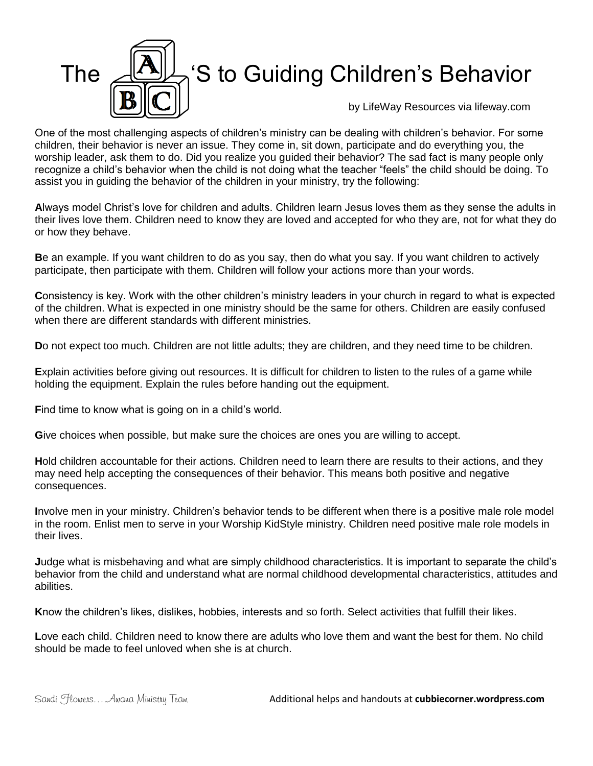

One of the most challenging aspects of children's ministry can be dealing with children's behavior. For some children, their behavior is never an issue. They come in, sit down, participate and do everything you, the worship leader, ask them to do. Did you realize you guided their behavior? The sad fact is many people only recognize a child's behavior when the child is not doing what the teacher "feels" the child should be doing. To assist you in guiding the behavior of the children in your ministry, try the following:

**A**lways model Christ's love for children and adults. Children learn Jesus loves them as they sense the adults in their lives love them. Children need to know they are loved and accepted for who they are, not for what they do or how they behave.

**B**e an example. If you want children to do as you say, then do what you say. If you want children to actively participate, then participate with them. Children will follow your actions more than your words.

**C**onsistency is key. Work with the other children's ministry leaders in your church in regard to what is expected of the children. What is expected in one ministry should be the same for others. Children are easily confused when there are different standards with different ministries.

**D**o not expect too much. Children are not little adults; they are children, and they need time to be children.

**E**xplain activities before giving out resources. It is difficult for children to listen to the rules of a game while holding the equipment. Explain the rules before handing out the equipment.

Find time to know what is going on in a child's world.

**G**ive choices when possible, but make sure the choices are ones you are willing to accept.

**H**old children accountable for their actions. Children need to learn there are results to their actions, and they may need help accepting the consequences of their behavior. This means both positive and negative consequences.

**I**nvolve men in your ministry. Children's behavior tends to be different when there is a positive male role model in the room. Enlist men to serve in your Worship KidStyle ministry. Children need positive male role models in their lives.

**J**udge what is misbehaving and what are simply childhood characteristics. It is important to separate the child's behavior from the child and understand what are normal childhood developmental characteristics, attitudes and abilities.

**K**now the children's likes, dislikes, hobbies, interests and so forth. Select activities that fulfill their likes.

**L**ove each child. Children need to know there are adults who love them and want the best for them. No child should be made to feel unloved when she is at church.